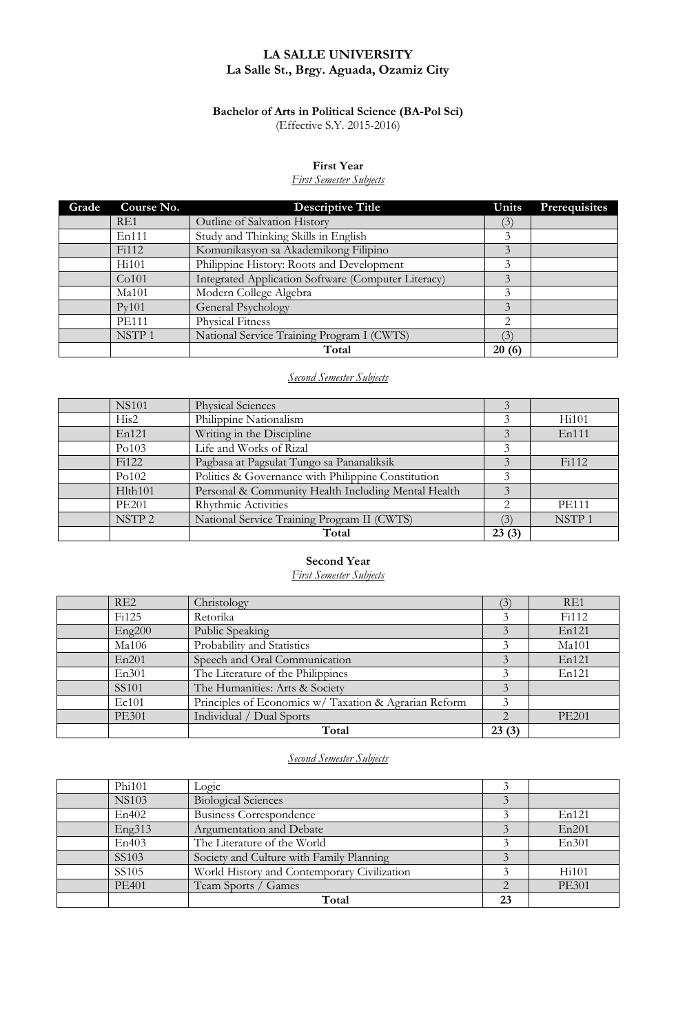### **LA SALLE UNIVERSITY La Salle St., Brgy. Aguada, Ozamiz City**

### **Bachelor of Arts in Political Science (BA-Pol Sci)** (Effective S.Y. 2015-2016)

#### **First Year**

### *First Semester Subjects*

| Grade | Course No.        | <b>Descriptive Title</b>                            | Units          | Prerequisites |
|-------|-------------------|-----------------------------------------------------|----------------|---------------|
|       | RE1               | Outline of Salvation History                        | (3)            |               |
|       | En111             | Study and Thinking Skills in English                | 3              |               |
|       | Fi112             | Komunikasyon sa Akademikong Filipino                |                |               |
|       | Hi101             | Philippine History: Roots and Development           | 3              |               |
|       | Co101             | Integrated Application Software (Computer Literacy) | 3              |               |
|       | Ma101             | Modern College Algebra                              | 3              |               |
|       | Pv101             | General Psychology                                  |                |               |
|       | <b>PE111</b>      | <b>Physical Fitness</b>                             | $\mathfrak{D}$ |               |
|       | NSTP <sub>1</sub> | National Service Training Program I (CWTS)          | $\mathfrak{Z}$ |               |
|       |                   | Total                                               | 20(6)          |               |

### *Second Semester Subjects*

| <b>NS101</b>      | <b>Physical Sciences</b>                            |       |                   |
|-------------------|-----------------------------------------------------|-------|-------------------|
| His2              | Philippine Nationalism                              |       | Hi101             |
| En121             | Writing in the Discipline                           |       | En111             |
| Po103             | Life and Works of Rizal                             |       |                   |
| Fi122             | Pagbasa at Pagsulat Tungo sa Pananaliksik           |       | Fi112             |
| Po102             | Politics & Governance with Philippine Constitution  | 3     |                   |
| Hlth101           | Personal & Community Health Including Mental Health | 3     |                   |
| <b>PE201</b>      | Rhythmic Activities                                 | 2     | <b>PE111</b>      |
| NSTP <sub>2</sub> | National Service Training Program II (CWTS)         | (3)   | NSTP <sub>1</sub> |
|                   | Total                                               | 23(3) |                   |

#### **Second Year**

*First Semester Subjects*

| RE2               | Christology                                           | (3)   | RE1          |
|-------------------|-------------------------------------------------------|-------|--------------|
| Fi125             | Retorika                                              |       | Fi112        |
| Eng200            | Public Speaking                                       |       | En121        |
| Ma106             | Probability and Statistics                            |       | Ma101        |
| En201             | Speech and Oral Communication                         |       | En121        |
| En301             | The Literature of the Philippines                     |       | En121        |
| SS <sub>101</sub> | The Humanities: Arts & Society                        |       |              |
| Ec101             | Principles of Economics w/ Taxation & Agrarian Reform |       |              |
| <b>PE301</b>      | Individual / Dual Sports                              | 2     | <b>PE201</b> |
|                   | Total                                                 | 23(3) |              |

### *Second Semester Subjects*

| Phi <sub>101</sub> | rosic                                       |    |                    |
|--------------------|---------------------------------------------|----|--------------------|
| <b>NS103</b>       | <b>Biological Sciences</b>                  |    |                    |
| En402              | <b>Business Correspondence</b>              |    | En121              |
| Eng313             | Argumentation and Debate                    |    | En201              |
| En403              | The Literature of the World                 |    | En301              |
| SS <sub>103</sub>  | Society and Culture with Family Planning    |    |                    |
| SS <sub>105</sub>  | World History and Contemporary Civilization |    | H <sub>i</sub> 101 |
| <b>PE401</b>       | Team Sports / Games                         |    | <b>PE301</b>       |
|                    | Total                                       | 23 |                    |